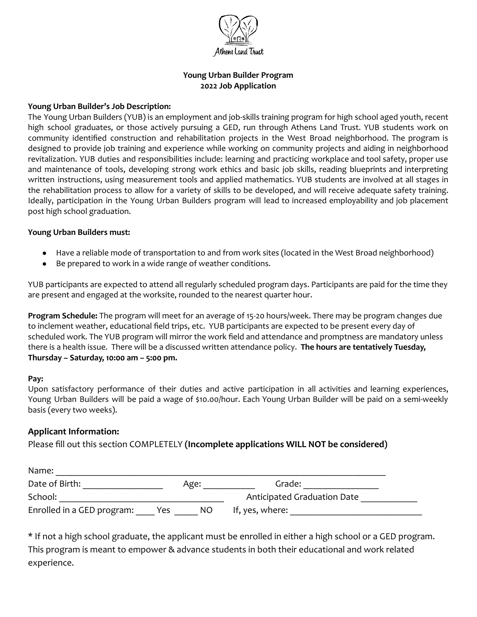

# **Young Urban Builder Program 2022 Job Application**

### **Young Urban Builder's Job Description:**

The Young Urban Builders (YUB) is an employment and job-skills training program for high school aged youth, recent high school graduates, or those actively pursuing a GED, run through Athens Land Trust. YUB students work on community identified construction and rehabilitation projects in the West Broad neighborhood. The program is designed to provide job training and experience while working on community projects and aiding in neighborhood revitalization. YUB duties and responsibilities include: learning and practicing workplace and tool safety, proper use and maintenance of tools, developing strong work ethics and basic job skills, reading blueprints and interpreting written instructions, using measurement tools and applied mathematics. YUB students are involved at all stages in the rehabilitation process to allow for a variety of skills to be developed, and will receive adequate safety training. Ideally, participation in the Young Urban Builders program will lead to increased employability and job placement post high school graduation.

### **Young Urban Builders must:**

- Have a reliable mode of transportation to and from work sites (located in the West Broad neighborhood)
- Be prepared to work in a wide range of weather conditions.

YUB participants are expected to attend all regularly scheduled program days. Participants are paid for the time they are present and engaged at the worksite, rounded to the nearest quarter hour.

**Program Schedule:** The program will meet for an average of 15-20 hours/week. There may be program changes due to inclement weather, educational field trips, etc. YUB participants are expected to be present every day of scheduled work. The YUB program will mirror the work field and attendance and promptness are mandatory unless there is a health issue. There will be a discussed written attendance policy. **The hours are tentatively Tuesday, Thursday – Saturday, 10:00 am – 5:00 pm.**

#### **Pay:**

Upon satisfactory performance of their duties and active participation in all activities and learning experiences, Young Urban Builders will be paid a wage of \$10.00/hour. Each Young Urban Builder will be paid on a semi-weekly basis (every two weeks).

## **Applicant Information:**

Please fill out this section COMPLETELY **(Incomplete applications WILL NOT be considered)**

| Name:                      |     |      |                             |  |
|----------------------------|-----|------|-----------------------------|--|
| Date of Birth:             |     | Age: | Grade:                      |  |
| School:                    |     |      | Anticipated Graduation Date |  |
| Enrolled in a GED program: | Yes | NO.  | If, yes, where:             |  |

\* If not a high school graduate, the applicant must be enrolled in either a high school or a GED program. This program is meant to empower & advance students in both their educational and work related experience.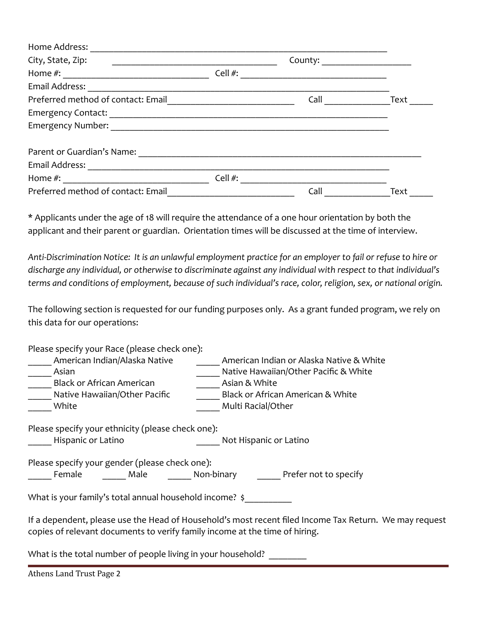| Home Address:                      |         |      |      |
|------------------------------------|---------|------|------|
| City, State, Zip:                  |         |      |      |
| Home $#$ :                         | Cell #: |      |      |
| Email Address:                     |         |      |      |
| Preferred method of contact: Email | Call    | Text |      |
| <b>Emergency Contact:</b>          |         |      |      |
| <b>Emergency Number:</b>           |         |      |      |
| Parent or Guardian's Name:         |         |      |      |
| Email Address:                     |         |      |      |
| Home $#$ :                         | Cell #: |      |      |
| Preferred method of contact: Email |         | Call | Text |

\* Applicants under the age of 18 will require the attendance of a one hour orientation by both the applicant and their parent or guardian. Orientation times will be discussed at the time of interview.

*Anti-Discrimination Notice: It is an unlawful employment practice for an employer to fail or refuse to hire or discharge any individual, or otherwise to discriminate against any individual with respect to that individual's terms and conditions of employment, because of such individual's race, color, religion, sex, or national origin.*

The following section is requested for our funding purposes only. As a grant funded program, we rely on this data for our operations:

Please specify your Race (please check one):

American Indian/Alaska Native **American Indian or Alaska Native & White** Asian **Asian Example 2** Asian **Mative Hawaiian/Other Pacific & White** Black or African American **American American American American** Asian & White Native Hawaiian/Other Pacific Black or African American & White White White **White White Weish Multi Racial/Other** Please specify your ethnicity (please check one): Hispanic or Latino **Not Hispanic or Latino** Please specify your gender (please check one): Female Male Mon-binary Prefer not to specify What is your family's total annual household income? \$

If a dependent, please use the Head of Household's most recent filed Income Tax Return. We may request copies of relevant documents to verify family income at the time of hiring.

What is the total number of people living in your household?

Athens Land Trust Page 2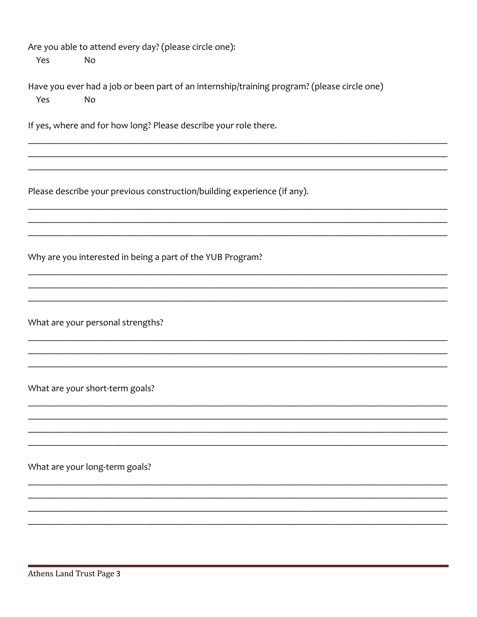| Yes | Are you able to attend every day? (please circle one):<br><b>No</b>                               |
|-----|---------------------------------------------------------------------------------------------------|
| Yes | Have you ever had a job or been part of an internship/training program? (please circle one)<br>No |
|     | If yes, where and for how long? Please describe your role there.                                  |
|     | Please describe your previous construction/building experience (if any).                          |
|     | Why are you interested in being a part of the YUB Program?                                        |
|     | What are your personal strengths?                                                                 |
|     | What are your short-term goals?                                                                   |
|     | What are your long-term goals?                                                                    |
|     |                                                                                                   |